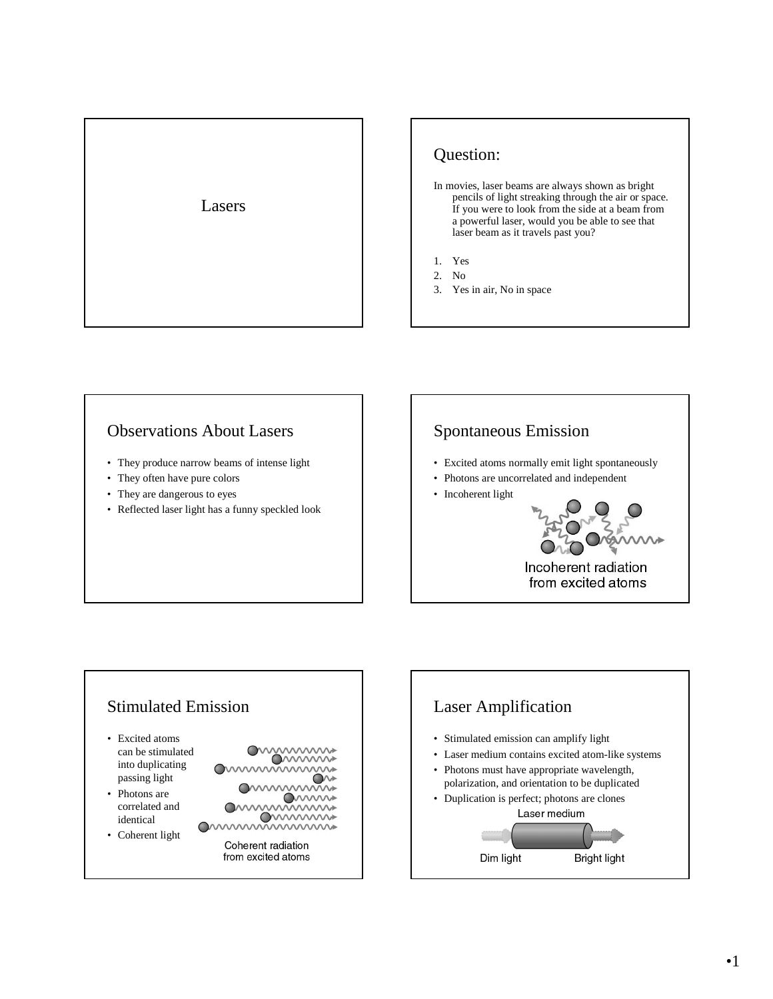

## Question:

- In movies, laser beams are always shown as bright pencils of light streaking through the air or space. If you were to look from the side at a beam from a powerful laser, would you be able to see that laser beam as it travels past you?
- 1. Yes
- 2. No
- 3. Yes in air, No in space

#### Observations About Lasers

- They produce narrow beams of intense light
- They often have pure colors
- They are dangerous to eyes
- Reflected laser light has a funny speckled look

## Spontaneous Emission

- Excited atoms normally emit light spontaneously
- Photons are uncorrelated and independent
- Incoherent light



#### Stimulated Emission • Excited atoms wwwww can be stimulated **OMMMM** into duplicating mmmm passing light **Ommunint** • Photons are ommunin correlated and **O**wwww identical mummummu • Coherent light Coherent radiation from excited atoms